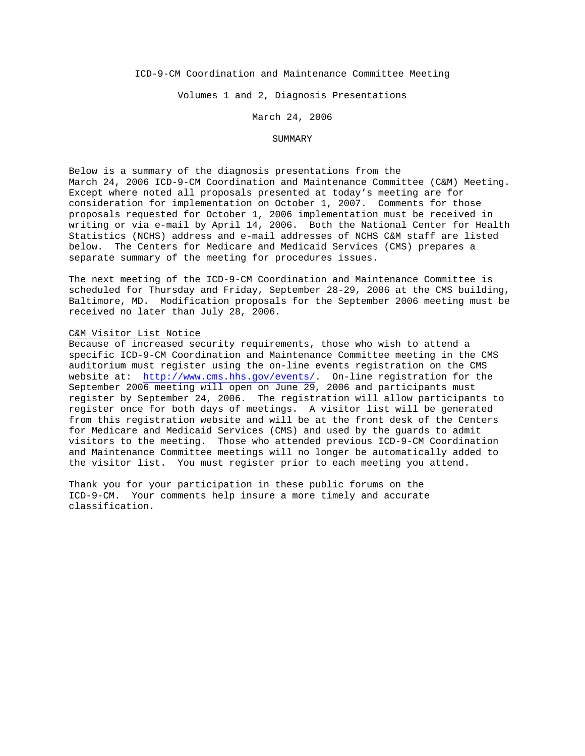## ICD-9-CM Coordination and Maintenance Committee Meeting

Volumes 1 and 2, Diagnosis Presentations

#### March 24, 2006

#### SUMMARY

Below is a summary of the diagnosis presentations from the March 24, 2006 ICD-9-CM Coordination and Maintenance Committee (C&M) Meeting. Except where noted all proposals presented at today's meeting are for consideration for implementation on October 1, 2007. Comments for those proposals requested for October 1, 2006 implementation must be received in writing or via e-mail by April 14, 2006. Both the National Center for Health Statistics (NCHS) address and e-mail addresses of NCHS C&M staff are listed below. The Centers for Medicare and Medicaid Services (CMS) prepares a separate summary of the meeting for procedures issues.

The next meeting of the ICD-9-CM Coordination and Maintenance Committee is scheduled for Thursday and Friday, September 28-29, 2006 at the CMS building, Baltimore, MD. Modification proposals for the September 2006 meeting must be received no later than July 28, 2006.

#### C&M Visitor List Notice

Because of increased security requirements, those who wish to attend a specific ICD-9-CM Coordination and Maintenance Committee meeting in the CMS auditorium must register using the on-line events registration on the CMS website at: [http://www.cms.hhs.gov/events/.](http://www.cms.hhs.gov/events/) On-line registration for the September 2006 meeting will open on June 29, 2006 and participants must register by September 24, 2006. The registration will allow participants to register once for both days of meetings. A visitor list will be generated from this registration website and will be at the front desk of the Centers for Medicare and Medicaid Services (CMS) and used by the guards to admit visitors to the meeting. Those who attended previous ICD-9-CM Coordination and Maintenance Committee meetings will no longer be automatically added to the visitor list. You must register prior to each meeting you attend.

Thank you for your participation in these public forums on the ICD-9-CM. Your comments help insure a more timely and accurate classification.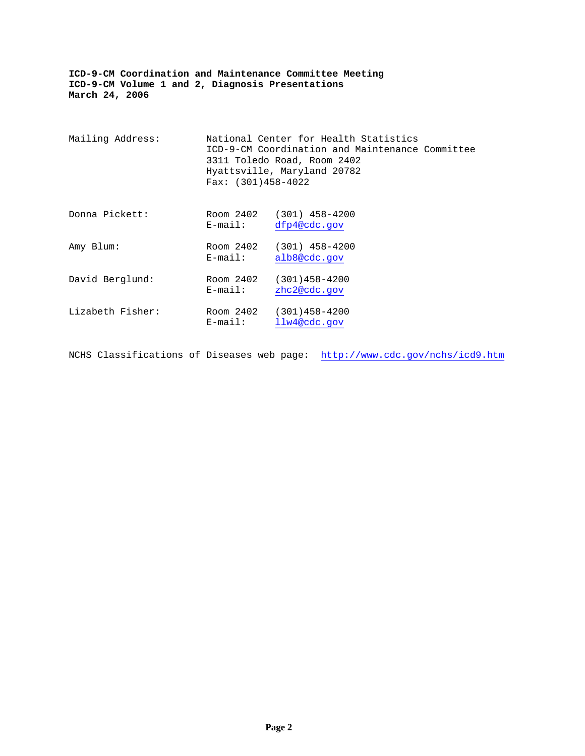| Mailing Address: | Fax: $(301)458-4022$    | National Center for Health Statistics<br>ICD-9-CM Coordination and Maintenance Committee<br>3311 Toledo Road, Room 2402<br>Hyattsville, Maryland 20782 |  |
|------------------|-------------------------|--------------------------------------------------------------------------------------------------------------------------------------------------------|--|
| Donna Pickett:   | Room 2402<br>$E$ -mail: | $(301)$ 458-4200<br>dfp4@cdc.gov                                                                                                                       |  |
| Amy Blum:        | Room 2402<br>$E$ -mail: | $(301)$ 458-4200<br>alb8@cdc.gov                                                                                                                       |  |
| David Berglund:  | Room 2402<br>$E$ -mail: | $(301)458 - 4200$<br>zhc2@cdc.gov                                                                                                                      |  |
| Lizabeth Fisher: | Room 2402<br>$E$ -mail: | $(301)458 - 4200$<br>llw4@cdc.gov                                                                                                                      |  |

NCHS Classifications of Diseases web page: <http://www.cdc.gov/nchs/icd9.htm>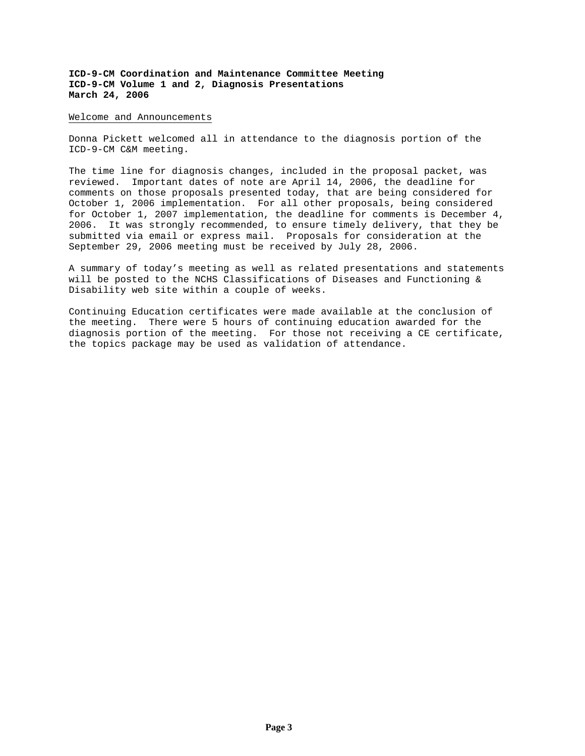#### Welcome and Announcements

Donna Pickett welcomed all in attendance to the diagnosis portion of the ICD-9-CM C&M meeting.

The time line for diagnosis changes, included in the proposal packet, was reviewed. Important dates of note are April 14, 2006, the deadline for comments on those proposals presented today, that are being considered for October 1, 2006 implementation. For all other proposals, being considered for October 1, 2007 implementation, the deadline for comments is December 4, 2006. It was strongly recommended, to ensure timely delivery, that they be submitted via email or express mail. Proposals for consideration at the September 29, 2006 meeting must be received by July 28, 2006.

A summary of today's meeting as well as related presentations and statements will be posted to the NCHS Classifications of Diseases and Functioning & Disability web site within a couple of weeks.

Continuing Education certificates were made available at the conclusion of the meeting. There were 5 hours of continuing education awarded for the diagnosis portion of the meeting. For those not receiving a CE certificate, the topics package may be used as validation of attendance.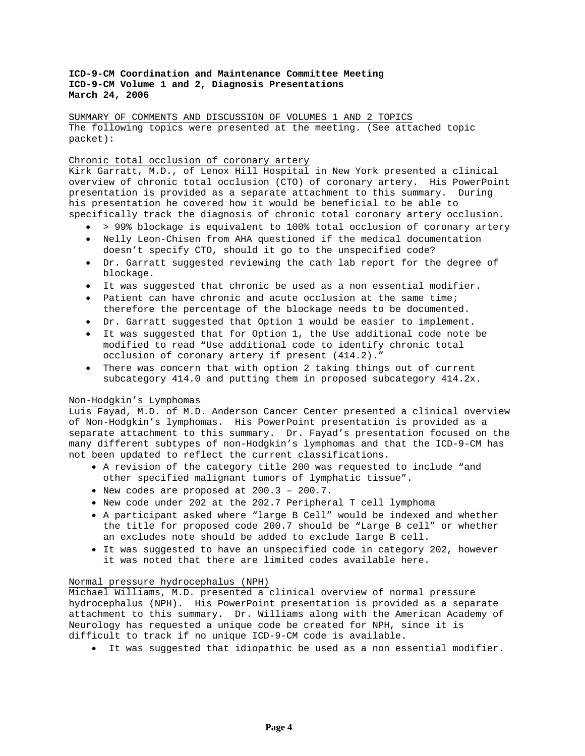SUMMARY OF COMMENTS AND DISCUSSION OF VOLUMES 1 AND 2 TOPICS The following topics were presented at the meeting. (See attached topic packet):

## Chronic total occlusion of coronary artery

Kirk Garratt, M.D., of Lenox Hill Hospital in New York presented a clinical overview of chronic total occlusion (CTO) of coronary artery. His PowerPoint presentation is provided as a separate attachment to this summary. During his presentation he covered how it would be beneficial to be able to specifically track the diagnosis of chronic total coronary artery occlusion.

- > 99% blockage is equivalent to 100% total occlusion of coronary artery
- Nelly Leon-Chisen from AHA questioned if the medical documentation doesn't specify CTO, should it go to the unspecified code?
- Dr. Garratt suggested reviewing the cath lab report for the degree of blockage.
- It was suggested that chronic be used as a non essential modifier.
- Patient can have chronic and acute occlusion at the same time; therefore the percentage of the blockage needs to be documented.
- Dr. Garratt suggested that Option 1 would be easier to implement.
- It was suggested that for Option 1, the Use additional code note be modified to read "Use additional code to identify chronic total occlusion of coronary artery if present (414.2)."
- There was concern that with option 2 taking things out of current subcategory 414.0 and putting them in proposed subcategory 414.2x.

### Non-Hodgkin's Lymphomas

Luis Fayad, M.D. of M.D. Anderson Cancer Center presented a clinical overview of Non-Hodgkin's lymphomas. His PowerPoint presentation is provided as a separate attachment to this summary. Dr. Fayad's presentation focused on the many different subtypes of non-Hodgkin's lymphomas and that the ICD-9-CM has not been updated to reflect the current classifications.

- A revision of the category title 200 was requested to include "and other specified malignant tumors of lymphatic tissue".
- New codes are proposed at 200.3 200.7.
- New code under 202 at the 202.7 Peripheral T cell lymphoma
- A participant asked where "large B Cell" would be indexed and whether the title for proposed code 200.7 should be "Large B cell" or whether an excludes note should be added to exclude large B cell.
- It was suggested to have an unspecified code in category 202, however it was noted that there are limited codes available here.

## Normal pressure hydrocephalus (NPH)

Michael Williams, M.D. presented a clinical overview of normal pressure hydrocephalus (NPH). His PowerPoint presentation is provided as a separate attachment to this summary. Dr. Williams along with the American Academy of Neurology has requested a unique code be created for NPH, since it is difficult to track if no unique ICD-9-CM code is available.

• It was suggested that idiopathic be used as a non essential modifier.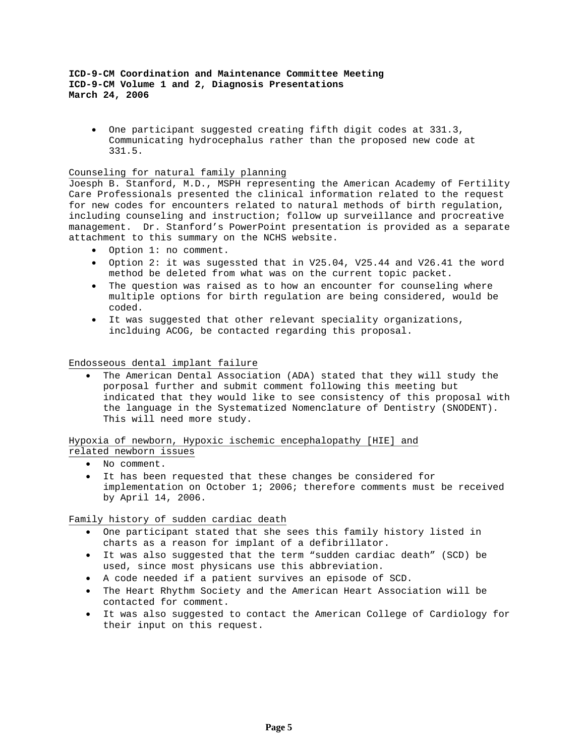• One participant suggested creating fifth digit codes at 331.3, Communicating hydrocephalus rather than the proposed new code at 331.5.

# Counseling for natural family planning

Joesph B. Stanford, M.D., MSPH representing the American Academy of Fertility Care Professionals presented the clinical information related to the request for new codes for encounters related to natural methods of birth regulation, including counseling and instruction; follow up surveillance and procreative management. Dr. Stanford's PowerPoint presentation is provided as a separate attachment to this summary on the NCHS website.

- Option 1: no comment.
- Option 2: it was sugessted that in V25.04, V25.44 and V26.41 the word method be deleted from what was on the current topic packet.
- The question was raised as to how an encounter for counseling where multiple options for birth regulation are being considered, would be coded.
- It was suggested that other relevant speciality organizations, inclduing ACOG, be contacted regarding this proposal.

Endosseous dental implant failure

• The American Dental Association (ADA) stated that they will study the porposal further and submit comment following this meeting but indicated that they would like to see consistency of this proposal with the language in the Systematized Nomenclature of Dentistry (SNODENT). This will need more study.

Hypoxia of newborn, Hypoxic ischemic encephalopathy [HIE] and

- related newborn issues
	- No comment.
	- It has been requested that these changes be considered for implementation on October 1; 2006; therefore comments must be received by April 14, 2006.

Family history of sudden cardiac death

- One participant stated that she sees this family history listed in charts as a reason for implant of a defibrillator.
- It was also suggested that the term "sudden cardiac death" (SCD) be used, since most physicans use this abbreviation.
- A code needed if a patient survives an episode of SCD.
- The Heart Rhythm Society and the American Heart Association will be contacted for comment.
- It was also suggested to contact the American College of Cardiology for their input on this request.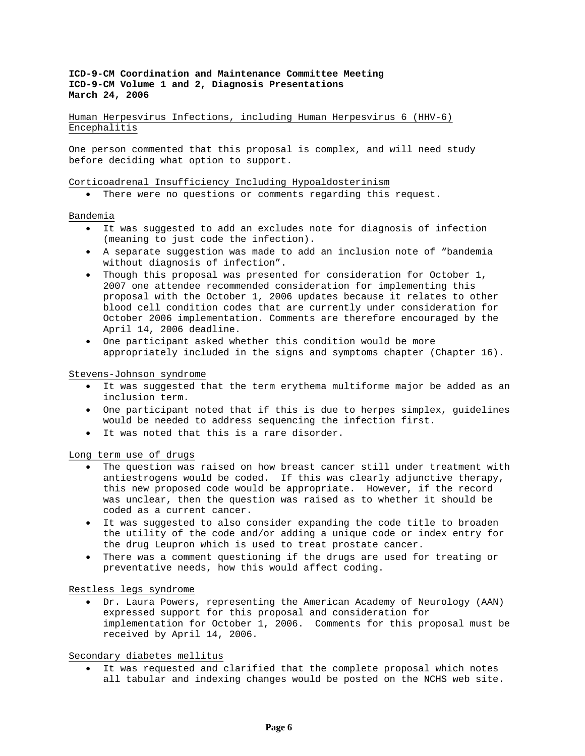Human Herpesvirus Infections, including Human Herpesvirus 6 (HHV-6) Encephalitis

One person commented that this proposal is complex, and will need study before deciding what option to support.

### Corticoadrenal Insufficiency Including Hypoaldosterinism

• There were no questions or comments regarding this request.

#### Bandemia

- It was suggested to add an excludes note for diagnosis of infection (meaning to just code the infection).
- A separate suggestion was made to add an inclusion note of "bandemia without diagnosis of infection".
- Though this proposal was presented for consideration for October 1, 2007 one attendee recommended consideration for implementing this proposal with the October 1, 2006 updates because it relates to other blood cell condition codes that are currently under consideration for October 2006 implementation. Comments are therefore encouraged by the April 14, 2006 deadline.
- One participant asked whether this condition would be more appropriately included in the signs and symptoms chapter (Chapter 16).

#### Stevens-Johnson syndrome

- It was suggested that the term erythema multiforme major be added as an inclusion term.
- One participant noted that if this is due to herpes simplex, guidelines would be needed to address sequencing the infection first.
- It was noted that this is a rare disorder.

### Long term use of drugs

- The question was raised on how breast cancer still under treatment with antiestrogens would be coded. If this was clearly adjunctive therapy, this new proposed code would be appropriate. However, if the record was unclear, then the question was raised as to whether it should be coded as a current cancer.
- It was suggested to also consider expanding the code title to broaden the utility of the code and/or adding a unique code or index entry for the drug Leupron which is used to treat prostate cancer.
- There was a comment questioning if the drugs are used for treating or preventative needs, how this would affect coding.

#### Restless legs syndrome

• Dr. Laura Powers, representing the American Academy of Neurology (AAN) expressed support for this proposal and consideration for implementation for October 1, 2006. Comments for this proposal must be received by April 14, 2006.

## Secondary diabetes mellitus

• It was requested and clarified that the complete proposal which notes all tabular and indexing changes would be posted on the NCHS web site.